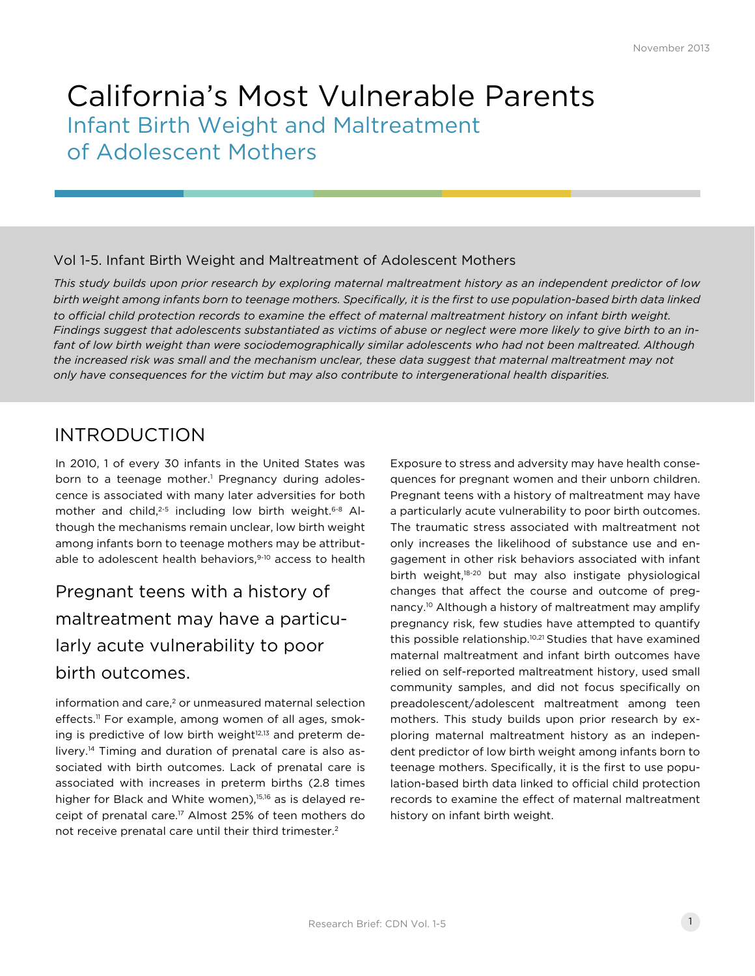# California's Most Vulnerable Parents Infant Birth Weight and Maltreatment of Adolescent Mothers

### Vol 1-5. Infant Birth Weight and Maltreatment of Adolescent Mothers

*This study builds upon prior research by exploring maternal maltreatment history as an independent predictor of low birth weight among infants born to teenage mothers. Specifically, it is the first to use population-based birth data linked to official child protection records to examine the effect of maternal maltreatment history on infant birth weight. Findings suggest that adolescents substantiated as victims of abuse or neglect were more likely to give birth to an in*fant of low birth weight than were sociodemographically similar adolescents who had not been maltreated. Although *the increased risk was small and the mechanism unclear, these data suggest that maternal maltreatment may not only have consequences for the victim but may also contribute to intergenerational health disparities.*

## INTRODUCTION

In 2010, 1 of every 30 infants in the United States was born to a teenage mother.<sup>1</sup> Pregnancy during adolescence is associated with many later adversities for both mother and child,<sup>2-5</sup> including low birth weight.<sup>6-8</sup> Although the mechanisms remain unclear, low birth weight among infants born to teenage mothers may be attributable to adolescent health behaviors,<sup>9-10</sup> access to health

# Pregnant teens with a history of maltreatment may have a particularly acute vulnerability to poor birth outcomes.

 $information$  and care.<sup>2</sup> or unmeasured maternal selection effects.<sup>11</sup> For example, among women of all ages, smoking is predictive of low birth weight<sup>12,13</sup> and preterm delivery.14 Timing and duration of prenatal care is also associated with birth outcomes. Lack of prenatal care is associated with increases in preterm births (2.8 times higher for Black and White women),<sup>15,16</sup> as is delayed receipt of prenatal care.<sup>17</sup> Almost 25% of teen mothers do not receive prenatal care until their third trimester.2

Exposure to stress and adversity may have health consequences for pregnant women and their unborn children. Pregnant teens with a history of maltreatment may have a particularly acute vulnerability to poor birth outcomes. The traumatic stress associated with maltreatment not only increases the likelihood of substance use and engagement in other risk behaviors associated with infant birth weight,18-20 but may also instigate physiological changes that affect the course and outcome of pregnancy.10 Although a history of maltreatment may amplify pregnancy risk, few studies have attempted to quantify this possible relationship.10,21 Studies that have examined maternal maltreatment and infant birth outcomes have relied on self-reported maltreatment history, used small community samples, and did not focus specifically on preadolescent/adolescent maltreatment among teen mothers. This study builds upon prior research by exploring maternal maltreatment history as an independent predictor of low birth weight among infants born to teenage mothers. Specifically, it is the first to use population-based birth data linked to official child protection records to examine the effect of maternal maltreatment history on infant birth weight.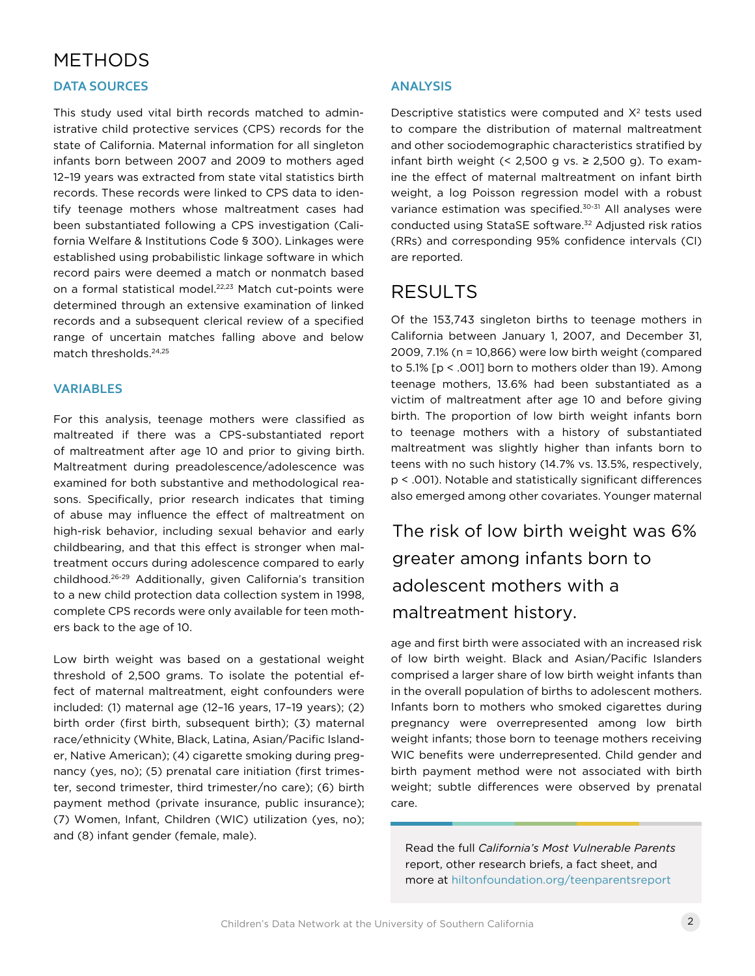### METHODS

#### **DATA SOURCES**

This study used vital birth records matched to administrative child protective services (CPS) records for the state of California. Maternal information for all singleton infants born between 2007 and 2009 to mothers aged 12–19 years was extracted from state vital statistics birth records. These records were linked to CPS data to identify teenage mothers whose maltreatment cases had been substantiated following a CPS investigation (California Welfare & Institutions Code § 300). Linkages were established using probabilistic linkage software in which record pairs were deemed a match or nonmatch based on a formal statistical model.<sup>22,23</sup> Match cut-points were determined through an extensive examination of linked records and a subsequent clerical review of a specified range of uncertain matches falling above and below match thresholds.24,25

#### **VARIABLES**

For this analysis, teenage mothers were classified as maltreated if there was a CPS-substantiated report of maltreatment after age 10 and prior to giving birth. Maltreatment during preadolescence/adolescence was examined for both substantive and methodological reasons. Specifically, prior research indicates that timing of abuse may influence the effect of maltreatment on high-risk behavior, including sexual behavior and early childbearing, and that this effect is stronger when maltreatment occurs during adolescence compared to early childhood.26-29 Additionally, given California's transition to a new child protection data collection system in 1998, complete CPS records were only available for teen mothers back to the age of 10.

Low birth weight was based on a gestational weight threshold of 2,500 grams. To isolate the potential effect of maternal maltreatment, eight confounders were included: (1) maternal age (12–16 years, 17–19 years); (2) birth order (first birth, subsequent birth); (3) maternal race/ethnicity (White, Black, Latina, Asian/Pacific Islander, Native American); (4) cigarette smoking during pregnancy (yes, no); (5) prenatal care initiation (first trimester, second trimester, third trimester/no care); (6) birth payment method (private insurance, public insurance); (7) Women, Infant, Children (WIC) utilization (yes, no); and (8) infant gender (female, male).

#### **ANALYSIS**

Descriptive statistics were computed and  $X<sup>2</sup>$  tests used to compare the distribution of maternal maltreatment and other sociodemographic characteristics stratified by infant birth weight  $($  < 2,500 g vs.  $\ge$  2,500 g). To examine the effect of maternal maltreatment on infant birth weight, a log Poisson regression model with a robust variance estimation was specified.30-31 All analyses were conducted using StataSE software.32 Adjusted risk ratios (RRs) and corresponding 95% confidence intervals (CI) are reported.

### RESULTS

Of the 153,743 singleton births to teenage mothers in California between January 1, 2007, and December 31, 2009, 7.1% (n = 10,866) were low birth weight (compared to 5.1% [p < .001] born to mothers older than 19). Among teenage mothers, 13.6% had been substantiated as a victim of maltreatment after age 10 and before giving birth. The proportion of low birth weight infants born to teenage mothers with a history of substantiated maltreatment was slightly higher than infants born to teens with no such history (14.7% vs. 13.5%, respectively, p < .001). Notable and statistically significant differences also emerged among other covariates. Younger maternal

The risk of low birth weight was 6% greater among infants born to adolescent mothers with a maltreatment history.

age and first birth were associated with an increased risk of low birth weight. Black and Asian/Pacific Islanders comprised a larger share of low birth weight infants than in the overall population of births to adolescent mothers. Infants born to mothers who smoked cigarettes during pregnancy were overrepresented among low birth weight infants; those born to teenage mothers receiving WIC benefits were underrepresented. Child gender and birth payment method were not associated with birth weight; subtle differences were observed by prenatal care.

Read the full *California's Most Vulnerable Parents*  report, other research briefs, a fact sheet, and more at [hiltonfoundation.org/teenparentsreport](http://www.hiltonfoundation.org/teenparentsreport)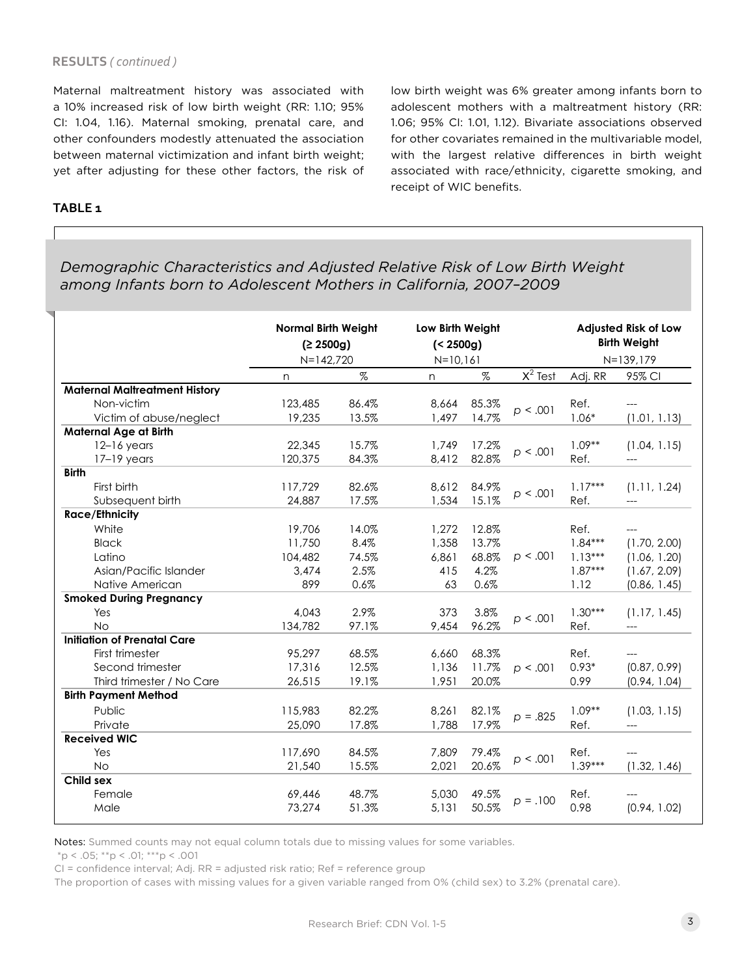#### **RESULTS** *( continued )*

Maternal maltreatment history was associated with a 10% increased risk of low birth weight (RR: 1.10; 95% CI: 1.04, 1.16). Maternal smoking, prenatal care, and other confounders modestly attenuated the association between maternal victimization and infant birth weight; yet after adjusting for these other factors, the risk of low birth weight was 6% greater among infants born to adolescent mothers with a maltreatment history (RR: 1.06; 95% CI: 1.01, 1.12). Bivariate associations observed for other covariates remained in the multivariable model, with the largest relative differences in birth weight associated with race/ethnicity, cigarette smoking, and receipt of WIC benefits.

#### **TABLE 1**

### *Demographic Characteristics and Adjusted Relative Risk of Low Birth Weight among Infants born to Adolescent Mothers in California, 2007–2009*

| <b>Normal Birth Weight</b><br>(2.2500g)<br>$N=142,720$ |       | Low Birth Weight<br>$(2500g)$ |       |                        | <b>Adjusted Risk of Low</b><br><b>Birth Weight</b><br>N=139,179 |              |
|--------------------------------------------------------|-------|-------------------------------|-------|------------------------|-----------------------------------------------------------------|--------------|
| n                                                      | $\%$  | n                             | $\%$  |                        | Adj. RR                                                         | 95% CI       |
|                                                        |       |                               |       |                        |                                                                 |              |
| 123,485                                                | 86.4% | 8,664                         | 85.3% | p < .001               | Ref.                                                            |              |
| 19,235                                                 | 13.5% | 1,497                         | 14.7% |                        | $1.06*$                                                         | (1.01, 1.13) |
|                                                        |       |                               |       |                        |                                                                 |              |
| 22,345                                                 | 15.7% | 1,749                         | 17.2% | p < .001               | $1.09**$                                                        | (1.04, 1.15) |
| 120,375                                                | 84.3% | 8,412                         | 82.8% |                        | Ref.                                                            | ---          |
|                                                        |       |                               |       |                        |                                                                 |              |
| 117,729                                                | 82.6% | 8,612                         | 84.9% | p < .001               | $1.17***$                                                       | (1.11, 1.24) |
| 24,887                                                 | 17.5% | 1,534                         | 15.1% |                        | Ref.                                                            |              |
|                                                        |       |                               |       |                        |                                                                 |              |
| 19,706                                                 | 14.0% | 1,272                         | 12.8% |                        | Ref.                                                            | ---          |
| 11,750                                                 | 8.4%  | 1,358                         | 13.7% |                        | $1.84***$                                                       | (1.70, 2.00) |
| 104,482                                                | 74.5% | 6,861                         | 68.8% | p < .001               | $1.13***$                                                       | (1.06, 1.20) |
| 3,474                                                  | 2.5%  | 415                           | 4.2%  |                        | $1.87***$                                                       | (1.67, 2.09) |
| 899                                                    | 0.6%  | 63                            | 0.6%  |                        | 1.12                                                            | (0.86, 1.45) |
|                                                        |       |                               |       |                        |                                                                 |              |
| 4,043                                                  |       | 373                           | 3.8%  | p < .001               |                                                                 | (1.17, 1.45) |
| 134,782                                                | 97.1% | 9,454                         |       |                        | Ref.                                                            |              |
|                                                        |       |                               |       |                        |                                                                 |              |
| 95,297                                                 | 68.5% | 6,660                         | 68.3% |                        | Ref.                                                            |              |
| 17,316                                                 | 12.5% | 1,136                         | 11.7% | p < .001               | $0.93*$                                                         | (0.87, 0.99) |
| 26,515                                                 | 19.1% | 1,951                         | 20.0% |                        | 0.99                                                            | (0.94, 1.04) |
|                                                        |       |                               |       |                        |                                                                 |              |
| 115,983                                                | 82.2% | 8,261                         | 82.1% |                        | $1.09**$                                                        | (1.03, 1.15) |
| 25,090                                                 | 17.8% | 1,788                         | 17.9% |                        | Ref.                                                            | ---          |
|                                                        |       |                               |       |                        |                                                                 |              |
| 117,690                                                | 84.5% | 7,809                         | 79.4% |                        | Ref.                                                            |              |
| 21,540                                                 | 15.5% | 2,021                         | 20.6% |                        | $1.39***$                                                       | (1.32, 1.46) |
|                                                        |       |                               |       |                        |                                                                 |              |
| 69,446                                                 | 48.7% | 5,030                         | 49.5% |                        | Ref.                                                            |              |
| 73,274                                                 | 51.3% | 5,131                         | 50.5% |                        | 0.98                                                            | (0.94, 1.02) |
|                                                        |       | 2.9%                          |       | $N = 10, 161$<br>96.2% | $\overline{X^2}$ Test<br>$p = .825$<br>p < .001<br>$p = .100$   | $1.30***$    |

Notes: Summed counts may not equal column totals due to missing values for some variables.

 $*p < .05; **p < .01; **p < .001$ 

CI = confidence interval; Adj. RR = adjusted risk ratio; Ref = reference group

The proportion of cases with missing values for a given variable ranged from 0% (child sex) to 3.2% (prenatal care).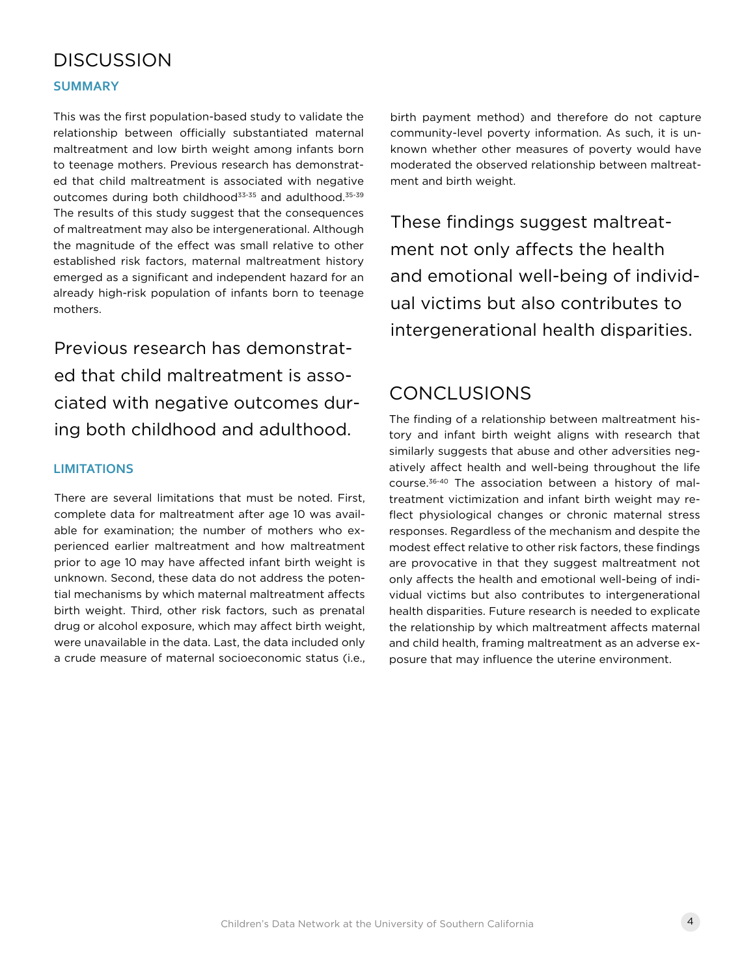### **DISCUSSION**

#### **SUMMARY**

This was the first population-based study to validate the relationship between officially substantiated maternal maltreatment and low birth weight among infants born to teenage mothers. Previous research has demonstrated that child maltreatment is associated with negative outcomes during both childhood<sup>33-35</sup> and adulthood.<sup>35-39</sup> The results of this study suggest that the consequences of maltreatment may also be intergenerational. Although the magnitude of the effect was small relative to other established risk factors, maternal maltreatment history emerged as a significant and independent hazard for an already high-risk population of infants born to teenage mothers.

Previous research has demonstrated that child maltreatment is associated with negative outcomes during both childhood and adulthood.

#### **LIMITATIONS**

There are several limitations that must be noted. First, complete data for maltreatment after age 10 was available for examination; the number of mothers who experienced earlier maltreatment and how maltreatment prior to age 10 may have affected infant birth weight is unknown. Second, these data do not address the potential mechanisms by which maternal maltreatment affects birth weight. Third, other risk factors, such as prenatal drug or alcohol exposure, which may affect birth weight, were unavailable in the data. Last, the data included only a crude measure of maternal socioeconomic status (i.e., birth payment method) and therefore do not capture community-level poverty information. As such, it is unknown whether other measures of poverty would have moderated the observed relationship between maltreatment and birth weight.

These findings suggest maltreatment not only affects the health and emotional well-being of individual victims but also contributes to intergenerational health disparities.

### **CONCLUSIONS**

The finding of a relationship between maltreatment history and infant birth weight aligns with research that similarly suggests that abuse and other adversities negatively affect health and well-being throughout the life course.36-40 The association between a history of maltreatment victimization and infant birth weight may reflect physiological changes or chronic maternal stress responses. Regardless of the mechanism and despite the modest effect relative to other risk factors, these findings are provocative in that they suggest maltreatment not only affects the health and emotional well-being of individual victims but also contributes to intergenerational health disparities. Future research is needed to explicate the relationship by which maltreatment affects maternal and child health, framing maltreatment as an adverse exposure that may influence the uterine environment.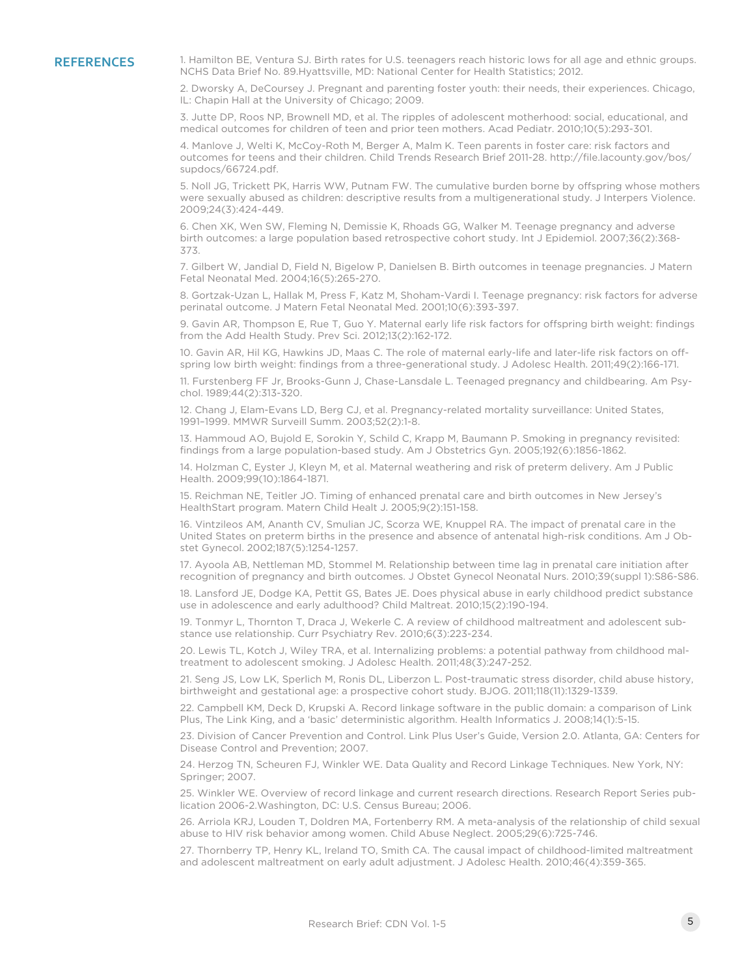REFERENCES 1. Hamilton BE, Ventura SJ. Birth rates for U.S. teenagers reach historic lows for all age and ethnic groups. NCHS Data Brief No. 89.Hyattsville, MD: National Center for Health Statistics; 2012.

> 2. Dworsky A, DeCoursey J. Pregnant and parenting foster youth: their needs, their experiences. Chicago, IL: Chapin Hall at the University of Chicago; 2009.

3. Jutte DP, Roos NP, Brownell MD, et al. The ripples of adolescent motherhood: social, educational, and medical outcomes for children of teen and prior teen mothers. Acad Pediatr. 2010;10(5):293-301.

4. Manlove J, Welti K, McCoy-Roth M, Berger A, Malm K. Teen parents in foster care: risk factors and outcomes for teens and their children. Child Trends Research Brief 2011-28. http://file.lacounty.gov/bos/ supdocs/66724.pdf.

5. Noll JG, Trickett PK, Harris WW, Putnam FW. The cumulative burden borne by offspring whose mothers were sexually abused as children: descriptive results from a multigenerational study. J Interpers Violence. 2009;24(3):424-449.

6. Chen XK, Wen SW, Fleming N, Demissie K, Rhoads GG, Walker M. Teenage pregnancy and adverse birth outcomes: a large population based retrospective cohort study. Int J Epidemiol. 2007;36(2):368- 373.

7. Gilbert W, Jandial D, Field N, Bigelow P, Danielsen B. Birth outcomes in teenage pregnancies. J Matern Fetal Neonatal Med. 2004;16(5):265-270.

8. Gortzak-Uzan L, Hallak M, Press F, Katz M, Shoham-Vardi I. Teenage pregnancy: risk factors for adverse perinatal outcome. J Matern Fetal Neonatal Med. 2001;10(6):393-397.

9. Gavin AR, Thompson E, Rue T, Guo Y. Maternal early life risk factors for offspring birth weight: findings from the Add Health Study. Prev Sci. 2012;13(2):162-172.

10. Gavin AR, Hil KG, Hawkins JD, Maas C. The role of maternal early-life and later-life risk factors on offspring low birth weight: findings from a three-generational study. J Adolesc Health. 2011;49(2):166-171.

11. Furstenberg FF Jr, Brooks-Gunn J, Chase-Lansdale L. Teenaged pregnancy and childbearing. Am Psychol. 1989;44(2):313-320.

12. Chang J, Elam-Evans LD, Berg CJ, et al. Pregnancy-related mortality surveillance: United States, 1991–1999. MMWR Surveill Summ. 2003;52(2):1-8.

13. Hammoud AO, Bujold E, Sorokin Y, Schild C, Krapp M, Baumann P. Smoking in pregnancy revisited: findings from a large population-based study. Am J Obstetrics Gyn. 2005;192(6):1856-1862.

14. Holzman C, Eyster J, Kleyn M, et al. Maternal weathering and risk of preterm delivery. Am J Public Health. 2009;99(10):1864-1871.

15. Reichman NE, Teitler JO. Timing of enhanced prenatal care and birth outcomes in New Jersey's HealthStart program. Matern Child Healt J. 2005;9(2):151-158.

16. Vintzileos AM, Ananth CV, Smulian JC, Scorza WE, Knuppel RA. The impact of prenatal care in the United States on preterm births in the presence and absence of antenatal high-risk conditions. Am J Obstet Gynecol. 2002;187(5):1254-1257.

17. Ayoola AB, Nettleman MD, Stommel M. Relationship between time lag in prenatal care initiation after recognition of pregnancy and birth outcomes. J Obstet Gynecol Neonatal Nurs. 2010;39(suppl 1):S86-S86.

18. Lansford JE, Dodge KA, Pettit GS, Bates JE. Does physical abuse in early childhood predict substance use in adolescence and early adulthood? Child Maltreat. 2010;15(2):190-194.

19. Tonmyr L, Thornton T, Draca J, Wekerle C. A review of childhood maltreatment and adolescent substance use relationship. Curr Psychiatry Rev. 2010;6(3):223-234.

20. Lewis TL, Kotch J, Wiley TRA, et al. Internalizing problems: a potential pathway from childhood maltreatment to adolescent smoking. J Adolesc Health. 2011;48(3):247-252.

21. Seng JS, Low LK, Sperlich M, Ronis DL, Liberzon L. Post-traumatic stress disorder, child abuse history, birthweight and gestational age: a prospective cohort study. BJOG. 2011;118(11):1329-1339.

22. Campbell KM, Deck D, Krupski A. Record linkage software in the public domain: a comparison of Link Plus, The Link King, and a 'basic' deterministic algorithm. Health Informatics J. 2008;14(1):5-15.

23. Division of Cancer Prevention and Control. Link Plus User's Guide, Version 2.0. Atlanta, GA: Centers for Disease Control and Prevention; 2007.

24. Herzog TN, Scheuren FJ, Winkler WE. Data Quality and Record Linkage Techniques. New York, NY: Springer; 2007.

25. Winkler WE. Overview of record linkage and current research directions. Research Report Series publication 2006-2.Washington, DC: U.S. Census Bureau; 2006.

26. Arriola KRJ, Louden T, Doldren MA, Fortenberry RM. A meta-analysis of the relationship of child sexual abuse to HIV risk behavior among women. Child Abuse Neglect. 2005;29(6):725-746.

27. Thornberry TP, Henry KL, Ireland TO, Smith CA. The causal impact of childhood-limited maltreatment and adolescent maltreatment on early adult adjustment. J Adolesc Health. 2010;46(4):359-365.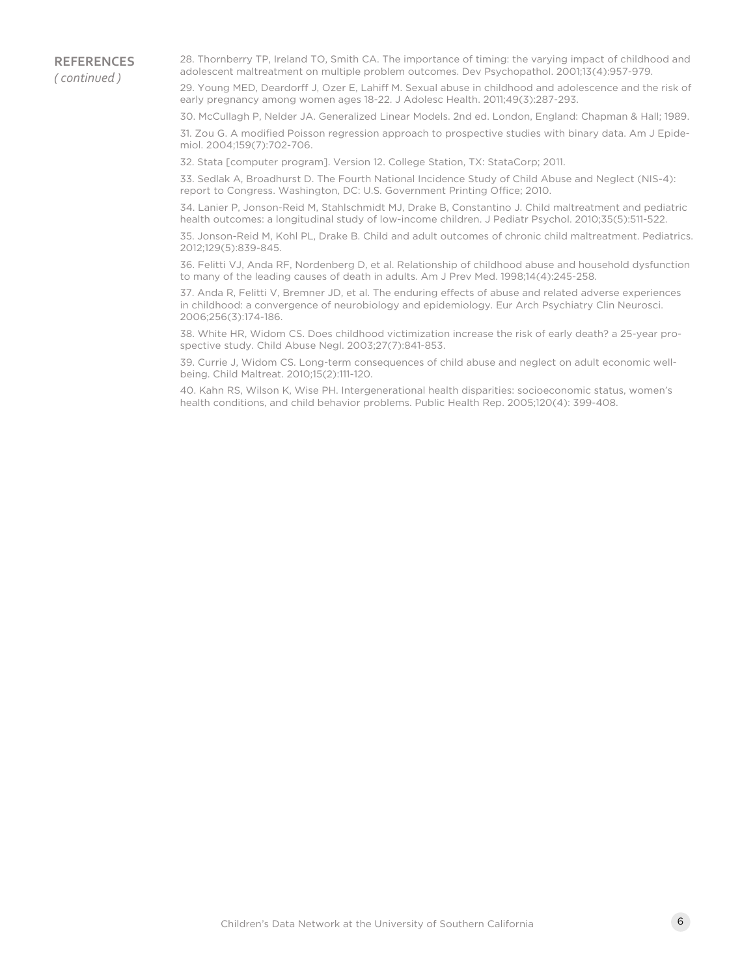28. Thornberry TP, Ireland TO, Smith CA. The importance of timing: the varying impact of childhood and adolescent maltreatment on multiple problem outcomes. Dev Psychopathol. 2001;13(4):957-979.

29. Young MED, Deardorff J, Ozer E, Lahiff M. Sexual abuse in childhood and adolescence and the risk of early pregnancy among women ages 18-22. J Adolesc Health. 2011;49(3):287-293.

30. McCullagh P, Nelder JA. Generalized Linear Models. 2nd ed. London, England: Chapman & Hall; 1989.

31. Zou G. A modified Poisson regression approach to prospective studies with binary data. Am J Epidemiol. 2004;159(7):702-706.

32. Stata [computer program]. Version 12. College Station, TX: StataCorp; 2011.

33. Sedlak A, Broadhurst D. The Fourth National Incidence Study of Child Abuse and Neglect (NIS-4): report to Congress. Washington, DC: U.S. Government Printing Office; 2010.

34. Lanier P, Jonson-Reid M, Stahlschmidt MJ, Drake B, Constantino J. Child maltreatment and pediatric health outcomes: a longitudinal study of low-income children. J Pediatr Psychol. 2010;35(5):511-522.

35. Jonson-Reid M, Kohl PL, Drake B. Child and adult outcomes of chronic child maltreatment. Pediatrics. 2012;129(5):839-845.

36. Felitti VJ, Anda RF, Nordenberg D, et al. Relationship of childhood abuse and household dysfunction to many of the leading causes of death in adults. Am J Prev Med. 1998;14(4):245-258.

37. Anda R, Felitti V, Bremner JD, et al. The enduring effects of abuse and related adverse experiences in childhood: a convergence of neurobiology and epidemiology. Eur Arch Psychiatry Clin Neurosci. 2006;256(3):174-186.

38. White HR, Widom CS. Does childhood victimization increase the risk of early death? a 25-year prospective study. Child Abuse Negl. 2003;27(7):841-853.

39. Currie J, Widom CS. Long-term consequences of child abuse and neglect on adult economic wellbeing. Child Maltreat. 2010;15(2):111-120.

40. Kahn RS, Wilson K, Wise PH. Intergenerational health disparities: socioeconomic status, women's health conditions, and child behavior problems. Public Health Rep. 2005;120(4): 399-408.